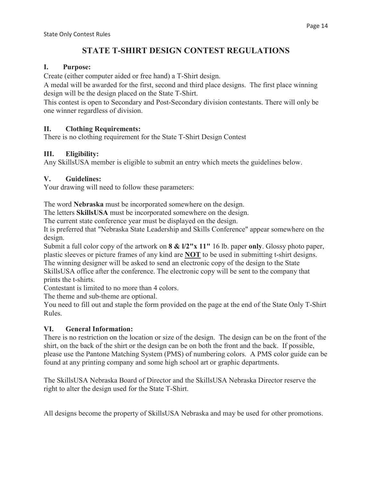# **STATE T-SHIRT DESIGN CONTEST REGULATIONS**

#### **I. Purpose:**

Create (either computer aided or free hand) a T-Shirt design.

A medal will be awarded for the first, second and third place designs. The first place winning design will be the design placed on the State T-Shirt.

This contest is open to Secondary and Post-Secondary division contestants. There will only be one winner regardless of division.

## **II. Clothing Requirements:**

There is no clothing requirement for the State T-Shirt Design Contest

#### **III. Eligibility:**

Any SkillsUSA member is eligible to submit an entry which meets the guidelines below.

#### **V. Guidelines:**

Your drawing will need to follow these parameters:

The word **Nebraska** must be incorporated somewhere on the design.

The letters **SkillsUSA** must be incorporated somewhere on the design.

The current state conference year must be displayed on the design.

It is preferred that "Nebraska State Leadership and Skills Conference" appear somewhere on the design.

Submit a full color copy of the artwork on **8 & l/2"x 11"** 16 lb. paper **only**. Glossy photo paper, plastic sleeves or picture frames of any kind are **NOT** to be used in submitting t-shirt designs. The winning designer will be asked to send an electronic copy of the design to the State SkillsUSA office after the conference. The electronic copy will be sent to the company that prints the t-shirts.

Contestant is limited to no more than 4 colors.

The theme and sub-theme are optional.

You need to fill out and staple the form provided on the page at the end of the State Only T-Shirt Rules.

## **VI. General Information:**

There is no restriction on the location or size of the design. The design can be on the front of the shirt, on the back of the shirt or the design can be on both the front and the back. If possible, please use the Pantone Matching System (PMS) of numbering colors. A PMS color guide can be found at any printing company and some high school art or graphic departments.

The SkillsUSA Nebraska Board of Director and the SkillsUSA Nebraska Director reserve the right to alter the design used for the State T-Shirt.

All designs become the property of SkillsUSA Nebraska and may be used for other promotions.